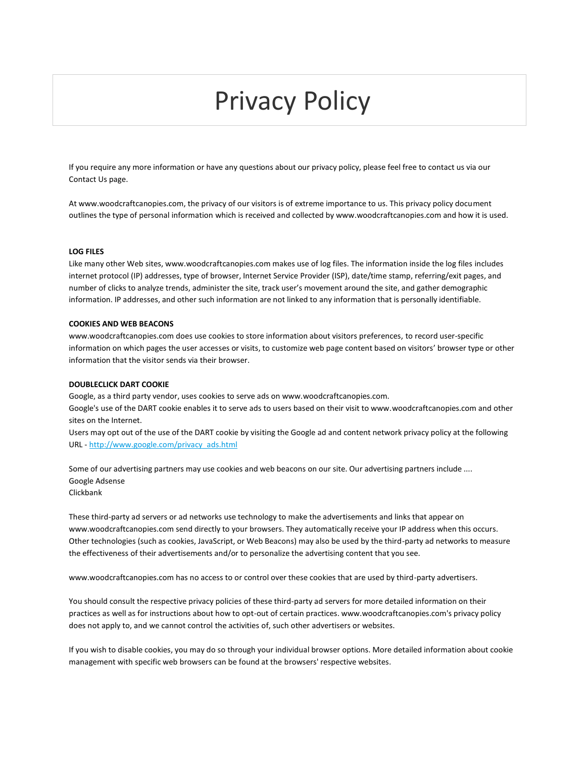# Privacy Policy

If you require any more information or have any questions about our privacy policy, please feel free to contact us via our Contact Us page.

At www.woodcraftcanopies.com, the privacy of our visitors is of extreme importance to us. This privacy policy document outlines the type of personal information which is received and collected by www.woodcraftcanopies.com and how it is used.

## **LOG FILES**

Like many other Web sites, www.woodcraftcanopies.com makes use of log files. The information inside the log files includes internet protocol (IP) addresses, type of browser, Internet Service Provider (ISP), date/time stamp, referring/exit pages, and number of clicks to analyze trends, administer the site, track user's movement around the site, and gather demographic information. IP addresses, and other such information are not linked to any information that is personally identifiable.

#### **COOKIES AND WEB BEACONS**

www.woodcraftcanopies.com does use cookies to store information about visitors preferences, to record user-specific information on which pages the user accesses or visits, to customize web page content based on visitors' browser type or other information that the visitor sends via their browser.

## **DOUBLECLICK DART COOKIE**

Google, as a third party vendor, uses cookies to serve ads on www.woodcraftcanopies.com.

Google's use of the DART cookie enables it to serve ads to users based on their visit to www.woodcraftcanopies.com and other sites on the Internet.

Users may opt out of the use of the DART cookie by visiting the Google ad and content network privacy policy at the following URL - [http://www.google.com/privacy\\_ads.html](http://www.google.com/privacy_ads.html)

Some of our advertising partners may use cookies and web beacons on our site. Our advertising partners include .... Google Adsense Clickbank

These third-party ad servers or ad networks use technology to make the advertisements and links that appear on www.woodcraftcanopies.com send directly to your browsers. They automatically receive your IP address when this occurs. Other technologies (such as cookies, JavaScript, or Web Beacons) may also be used by the third-party ad networks to measure the effectiveness of their advertisements and/or to personalize the advertising content that you see.

www.woodcraftcanopies.com has no access to or control over these cookies that are used by third-party advertisers.

You should consult the respective privacy policies of these third-party ad servers for more detailed information on their practices as well as for instructions about how to opt-out of certain practices. www.woodcraftcanopies.com's privacy policy does not apply to, and we cannot control the activities of, such other advertisers or websites.

If you wish to disable cookies, you may do so through your individual browser options. More detailed information about cookie management with specific web browsers can be found at the browsers' respective websites.